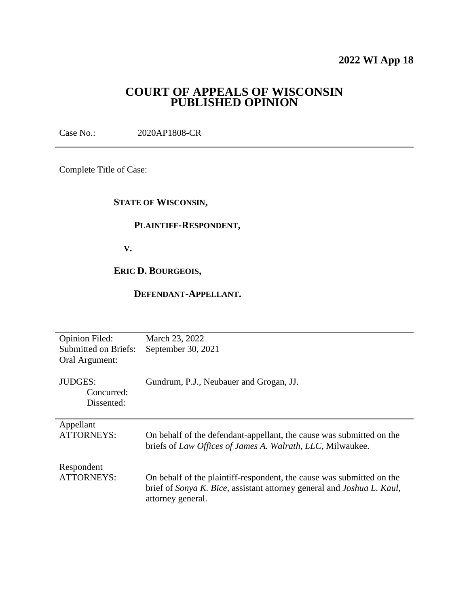## **2022 WI App 18**

## **COURT OF APPEALS OF WISCONSIN PUBLISHED OPINION**

Case No.: 2020AP1808-CR

Complete Title of Case:

## **STATE OF WISCONSIN,**

## **PLAINTIFF-RESPONDENT,**

 **V.**

## **ERIC D. BOURGEOIS,**

#### **DEFENDANT-APPELLANT.**

| <b>Opinion Filed:</b><br><b>Submitted on Briefs:</b><br>Oral Argument: | March 23, 2022<br>September 30, 2021                                                                                                                                 |
|------------------------------------------------------------------------|----------------------------------------------------------------------------------------------------------------------------------------------------------------------|
| <b>JUDGES:</b><br>Concurred:<br>Dissented:                             | Gundrum, P.J., Neubauer and Grogan, JJ.                                                                                                                              |
| Appellant<br><b>ATTORNEYS:</b>                                         | On behalf of the defendant-appellant, the cause was submitted on the<br>briefs of Law Offices of James A. Walrath, LLC, Milwaukee.                                   |
| Respondent<br><b>ATTORNEYS:</b>                                        | On behalf of the plaintiff-respondent, the cause was submitted on the<br>brief of Sonya K. Bice, assistant attorney general and Joshua L. Kaul,<br>attorney general. |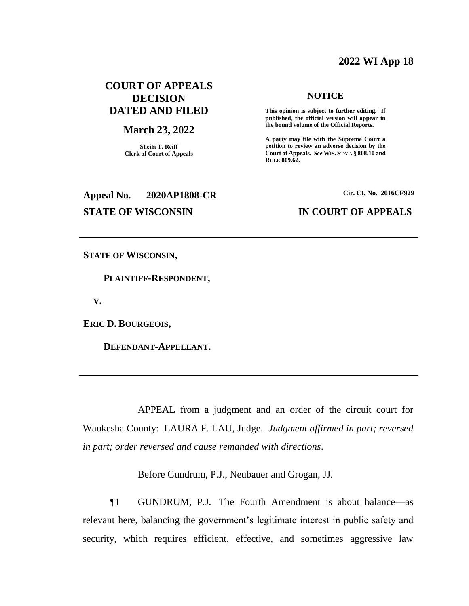### **2022 WI App 18**

## **COURT OF APPEALS DECISION DATED AND FILED**

#### **March 23, 2022**

**Sheila T. Reiff Clerk of Court of Appeals**

# **Appeal No. 2020AP1808-CR Cir. Ct. No. 2016CF929**

#### **NOTICE**

**This opinion is subject to further editing. If published, the official version will appear in the bound volume of the Official Reports.** 

**A party may file with the Supreme Court a petition to review an adverse decision by the Court of Appeals.** *See* **WIS. STAT. § 808.10 and RULE 809.62.** 

#### **STATE OF WISCONSIN IN COURT OF APPEALS**

**STATE OF WISCONSIN,**

 **PLAINTIFF-RESPONDENT,**

 **V.**

**ERIC D. BOURGEOIS,**

 **DEFENDANT-APPELLANT.**

APPEAL from a judgment and an order of the circuit court for Waukesha County: LAURA F. LAU, Judge. *Judgment affirmed in part; reversed in part; order reversed and cause remanded with directions*.

Before Gundrum, P.J., Neubauer and Grogan, JJ.

¶1 GUNDRUM, P.J. The Fourth Amendment is about balance—as relevant here, balancing the government's legitimate interest in public safety and security, which requires efficient, effective, and sometimes aggressive law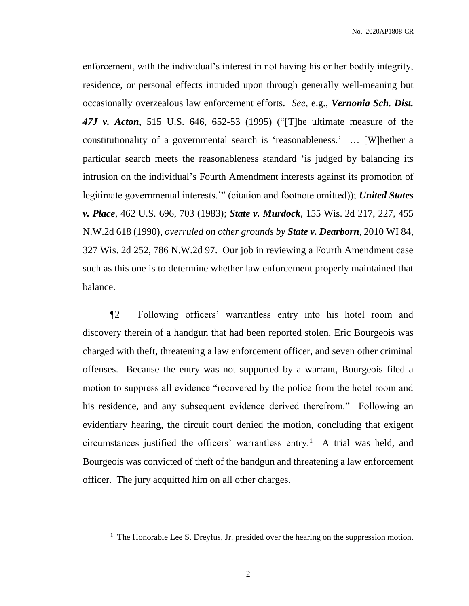enforcement, with the individual's interest in not having his or her bodily integrity, residence, or personal effects intruded upon through generally well-meaning but occasionally overzealous law enforcement efforts. *See*, e.g., *Vernonia Sch. Dist. 47J v. Acton*, 515 U.S. 646, 652-53 (1995) ("[T]he ultimate measure of the constitutionality of a governmental search is 'reasonableness.' … [W]hether a particular search meets the reasonableness standard 'is judged by balancing its intrusion on the individual's Fourth Amendment interests against its promotion of legitimate governmental interests.'" (citation and footnote omitted)); *United States v. Place*, 462 U.S. 696, 703 (1983); *State v. Murdock*, 155 Wis. 2d 217, 227, 455 N.W.2d 618 (1990), *overruled on other grounds by State v. Dearborn*, 2010 WI 84, 327 Wis. 2d 252, 786 N.W.2d 97. Our job in reviewing a Fourth Amendment case such as this one is to determine whether law enforcement properly maintained that balance.

¶2 Following officers' warrantless entry into his hotel room and discovery therein of a handgun that had been reported stolen, Eric Bourgeois was charged with theft, threatening a law enforcement officer, and seven other criminal offenses. Because the entry was not supported by a warrant, Bourgeois filed a motion to suppress all evidence "recovered by the police from the hotel room and his residence, and any subsequent evidence derived therefrom." Following an evidentiary hearing, the circuit court denied the motion, concluding that exigent circumstances justified the officers' warrantless entry.<sup>1</sup> A trial was held, and Bourgeois was convicted of theft of the handgun and threatening a law enforcement officer. The jury acquitted him on all other charges.

2

 $\overline{a}$ 

<sup>&</sup>lt;sup>1</sup> The Honorable Lee S. Dreyfus, Jr. presided over the hearing on the suppression motion.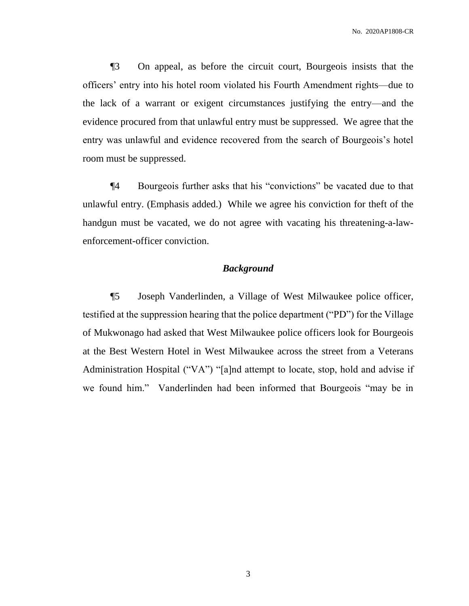¶3 On appeal, as before the circuit court, Bourgeois insists that the officers' entry into his hotel room violated his Fourth Amendment rights—due to the lack of a warrant or exigent circumstances justifying the entry—and the evidence procured from that unlawful entry must be suppressed. We agree that the entry was unlawful and evidence recovered from the search of Bourgeois's hotel room must be suppressed.

¶4 Bourgeois further asks that his "conviction*s*" be vacated due to that unlawful entry. (Emphasis added.) While we agree his conviction for theft of the handgun must be vacated, we do not agree with vacating his threatening-a-lawenforcement-officer conviction.

#### *Background*

¶5 Joseph Vanderlinden, a Village of West Milwaukee police officer, testified at the suppression hearing that the police department ("PD") for the Village of Mukwonago had asked that West Milwaukee police officers look for Bourgeois at the Best Western Hotel in West Milwaukee across the street from a Veterans Administration Hospital ("VA") "[a]nd attempt to locate, stop, hold and advise if we found him." Vanderlinden had been informed that Bourgeois "may be in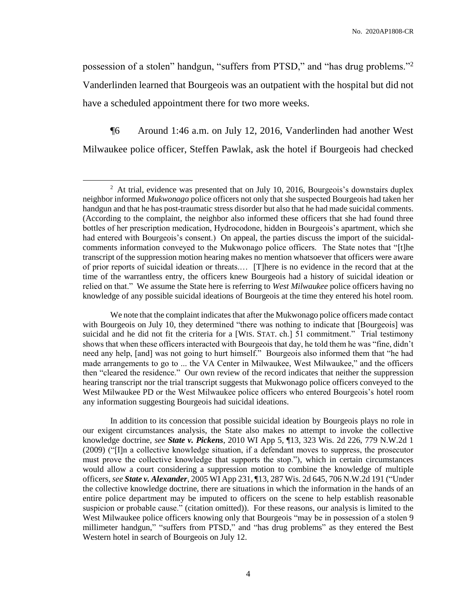possession of a stolen" handgun, "suffers from PTSD," and "has drug problems."<sup>2</sup> Vanderlinden learned that Bourgeois was an outpatient with the hospital but did not have a scheduled appointment there for two more weeks.

¶6 Around 1:46 a.m. on July 12, 2016, Vanderlinden had another West Milwaukee police officer, Steffen Pawlak, ask the hotel if Bourgeois had checked

 $\overline{a}$ 

In addition to its concession that possible suicidal ideation by Bourgeois plays no role in our exigent circumstances analysis, the State also makes no attempt to invoke the collective knowledge doctrine, *see State v. Pickens*, 2010 WI App 5, ¶13, 323 Wis. 2d 226, 779 N.W.2d 1 (2009) ("[I]n a collective knowledge situation, if a defendant moves to suppress, the prosecutor must prove the collective knowledge that supports the stop."), which in certain circumstances would allow a court considering a suppression motion to combine the knowledge of multiple officers, *see State v. Alexander*, 2005 WI App 231, ¶13, 287 Wis. 2d 645, 706 N.W.2d 191 ("Under the collective knowledge doctrine, there are situations in which the information in the hands of an entire police department may be imputed to officers on the scene to help establish reasonable suspicion or probable cause." (citation omitted)). For these reasons, our analysis is limited to the West Milwaukee police officers knowing only that Bourgeois "may be in possession of a stolen 9 millimeter handgun," "suffers from PTSD," and "has drug problems" as they entered the Best Western hotel in search of Bourgeois on July 12.

 $2$  At trial, evidence was presented that on July 10, 2016, Bourgeois's downstairs duplex neighbor informed *Mukwonago* police officers not only that she suspected Bourgeois had taken her handgun and that he has post-traumatic stress disorder but also that he had made suicidal comments. (According to the complaint, the neighbor also informed these officers that she had found three bottles of her prescription medication, Hydrocodone, hidden in Bourgeois's apartment, which she had entered with Bourgeois's consent.) On appeal, the parties discuss the import of the suicidalcomments information conveyed to the Mukwonago police officers. The State notes that "[t]he transcript of the suppression motion hearing makes no mention whatsoever that officers were aware of prior reports of suicidal ideation or threats.… [T]here is no evidence in the record that at the time of the warrantless entry, the officers knew Bourgeois had a history of suicidal ideation or relied on that." We assume the State here is referring to *West Milwaukee* police officers having no knowledge of any possible suicidal ideations of Bourgeois at the time they entered his hotel room.

We note that the complaint indicates that after the Mukwonago police officers made contact with Bourgeois on July 10, they determined "there was nothing to indicate that [Bourgeois] was suicidal and he did not fit the criteria for a [WIS. STAT. ch.] 51 commitment." Trial testimony shows that when these officers interacted with Bourgeois that day, he told them he was "fine, didn't need any help, [and] was not going to hurt himself." Bourgeois also informed them that "he had made arrangements to go to ... the VA Center in Milwaukee, West Milwaukee," and the officers then "cleared the residence." Our own review of the record indicates that neither the suppression hearing transcript nor the trial transcript suggests that Mukwonago police officers conveyed to the West Milwaukee PD or the West Milwaukee police officers who entered Bourgeois's hotel room any information suggesting Bourgeois had suicidal ideations.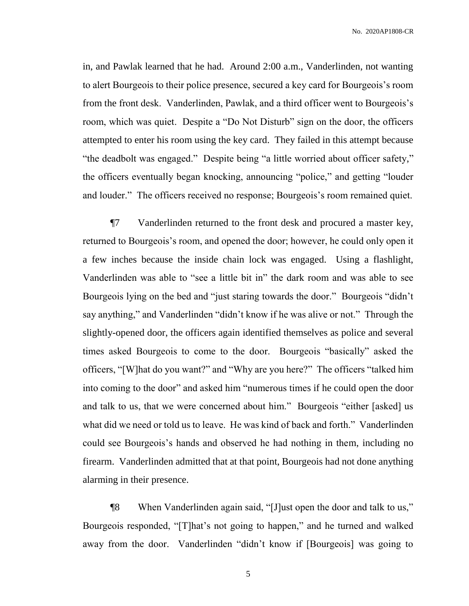in, and Pawlak learned that he had. Around 2:00 a.m., Vanderlinden, not wanting to alert Bourgeois to their police presence, secured a key card for Bourgeois's room from the front desk. Vanderlinden, Pawlak, and a third officer went to Bourgeois's room, which was quiet. Despite a "Do Not Disturb" sign on the door, the officers attempted to enter his room using the key card. They failed in this attempt because "the deadbolt was engaged." Despite being "a little worried about officer safety," the officers eventually began knocking, announcing "police," and getting "louder and louder." The officers received no response; Bourgeois's room remained quiet.

¶7 Vanderlinden returned to the front desk and procured a master key, returned to Bourgeois's room, and opened the door; however, he could only open it a few inches because the inside chain lock was engaged. Using a flashlight, Vanderlinden was able to "see a little bit in" the dark room and was able to see Bourgeois lying on the bed and "just staring towards the door." Bourgeois "didn't say anything," and Vanderlinden "didn't know if he was alive or not." Through the slightly-opened door, the officers again identified themselves as police and several times asked Bourgeois to come to the door. Bourgeois "basically" asked the officers, "[W]hat do you want?" and "Why are you here?" The officers "talked him into coming to the door" and asked him "numerous times if he could open the door and talk to us, that we were concerned about him." Bourgeois "either [asked] us what did we need or told us to leave. He was kind of back and forth." Vanderlinden could see Bourgeois's hands and observed he had nothing in them, including no firearm. Vanderlinden admitted that at that point, Bourgeois had not done anything alarming in their presence.

¶8 When Vanderlinden again said, "[J]ust open the door and talk to us," Bourgeois responded, "[T]hat's not going to happen," and he turned and walked away from the door. Vanderlinden "didn't know if [Bourgeois] was going to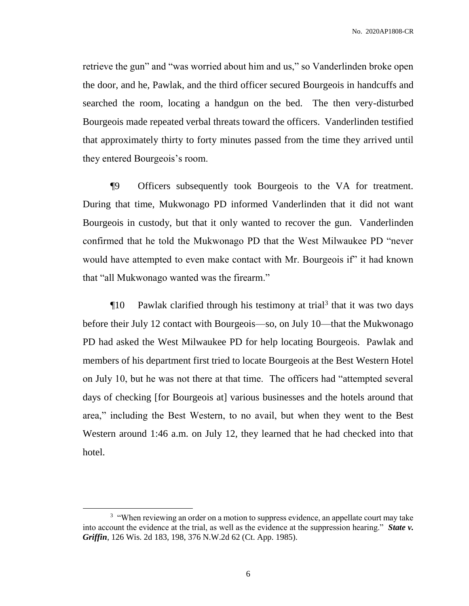retrieve the gun" and "was worried about him and us," so Vanderlinden broke open the door, and he, Pawlak, and the third officer secured Bourgeois in handcuffs and searched the room, locating a handgun on the bed. The then very-disturbed Bourgeois made repeated verbal threats toward the officers. Vanderlinden testified that approximately thirty to forty minutes passed from the time they arrived until they entered Bourgeois's room.

¶9 Officers subsequently took Bourgeois to the VA for treatment. During that time, Mukwonago PD informed Vanderlinden that it did not want Bourgeois in custody, but that it only wanted to recover the gun. Vanderlinden confirmed that he told the Mukwonago PD that the West Milwaukee PD "never would have attempted to even make contact with Mr. Bourgeois if" it had known that "all Mukwonago wanted was the firearm."

¶10 Pawlak clarified through his testimony at trial<sup>3</sup> that it was two days before their July 12 contact with Bourgeois—so, on July 10—that the Mukwonago PD had asked the West Milwaukee PD for help locating Bourgeois. Pawlak and members of his department first tried to locate Bourgeois at the Best Western Hotel on July 10, but he was not there at that time. The officers had "attempted several days of checking [for Bourgeois at] various businesses and the hotels around that area," including the Best Western, to no avail, but when they went to the Best Western around 1:46 a.m. on July 12, they learned that he had checked into that hotel.

 $\overline{a}$ 

 $3$  "When reviewing an order on a motion to suppress evidence, an appellate court may take into account the evidence at the trial, as well as the evidence at the suppression hearing." *State v. Griffin*, 126 Wis. 2d 183, 198, 376 N.W.2d 62 (Ct. App. 1985).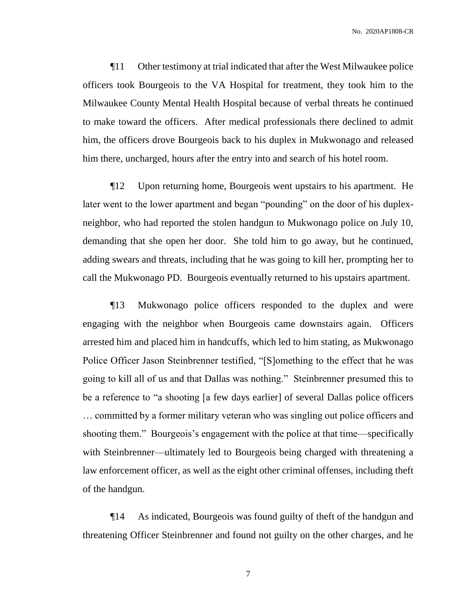¶11 Other testimony at trial indicated that after the West Milwaukee police officers took Bourgeois to the VA Hospital for treatment, they took him to the Milwaukee County Mental Health Hospital because of verbal threats he continued to make toward the officers. After medical professionals there declined to admit him, the officers drove Bourgeois back to his duplex in Mukwonago and released him there, uncharged, hours after the entry into and search of his hotel room.

¶12 Upon returning home, Bourgeois went upstairs to his apartment. He later went to the lower apartment and began "pounding" on the door of his duplexneighbor, who had reported the stolen handgun to Mukwonago police on July 10, demanding that she open her door. She told him to go away, but he continued, adding swears and threats, including that he was going to kill her, prompting her to call the Mukwonago PD. Bourgeois eventually returned to his upstairs apartment.

¶13 Mukwonago police officers responded to the duplex and were engaging with the neighbor when Bourgeois came downstairs again. Officers arrested him and placed him in handcuffs, which led to him stating, as Mukwonago Police Officer Jason Steinbrenner testified, "[S]omething to the effect that he was going to kill all of us and that Dallas was nothing." Steinbrenner presumed this to be a reference to "a shooting [a few days earlier] of several Dallas police officers … committed by a former military veteran who was singling out police officers and shooting them." Bourgeois's engagement with the police at that time—specifically with Steinbrenner—ultimately led to Bourgeois being charged with threatening a law enforcement officer, as well as the eight other criminal offenses, including theft of the handgun.

¶14 As indicated, Bourgeois was found guilty of theft of the handgun and threatening Officer Steinbrenner and found not guilty on the other charges, and he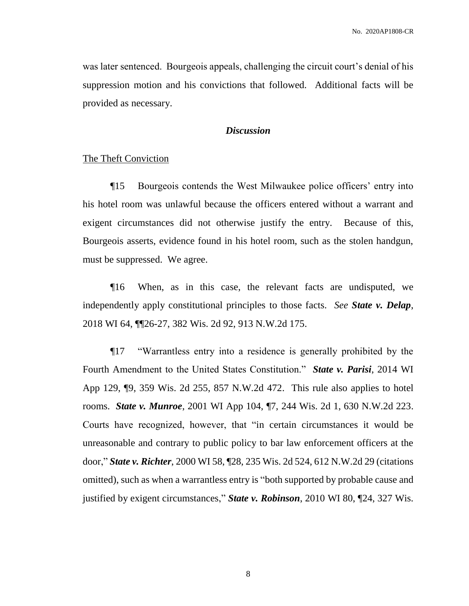was later sentenced. Bourgeois appeals, challenging the circuit court's denial of his suppression motion and his convictions that followed. Additional facts will be provided as necessary.

#### *Discussion*

#### The Theft Conviction

¶15 Bourgeois contends the West Milwaukee police officers' entry into his hotel room was unlawful because the officers entered without a warrant and exigent circumstances did not otherwise justify the entry. Because of this, Bourgeois asserts, evidence found in his hotel room, such as the stolen handgun, must be suppressed. We agree.

¶16 When, as in this case, the relevant facts are undisputed, we independently apply constitutional principles to those facts. *See State v. Delap*, 2018 WI 64, ¶¶26-27, 382 Wis. 2d 92, 913 N.W.2d 175.

¶17 "Warrantless entry into a residence is generally prohibited by the Fourth Amendment to the United States Constitution." *State v. Parisi*, 2014 WI App 129, ¶9, 359 Wis. 2d 255, 857 N.W.2d 472. This rule also applies to hotel rooms. *State v. Munroe*, 2001 WI App 104, ¶7, 244 Wis. 2d 1, 630 N.W.2d 223. Courts have recognized, however, that "in certain circumstances it would be unreasonable and contrary to public policy to bar law enforcement officers at the door," *State v. Richter*, 2000 WI 58, ¶28, 235 Wis. 2d 524, 612 N.W.2d 29 (citations omitted), such as when a warrantless entry is "both supported by probable cause and justified by exigent circumstances," *State v. Robinson*, 2010 WI 80, ¶24, 327 Wis.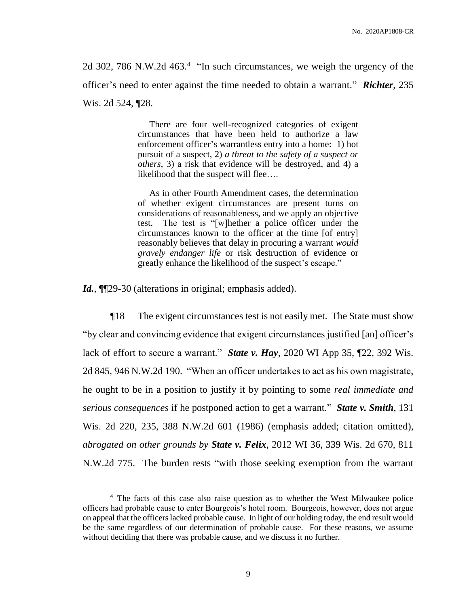2d 302, 786 N.W.2d 463.<sup>4</sup> "In such circumstances, we weigh the urgency of the officer's need to enter against the time needed to obtain a warrant." *Richter*, 235 Wis. 2d 524, ¶28.

> There are four well-recognized categories of exigent circumstances that have been held to authorize a law enforcement officer's warrantless entry into a home: 1) hot pursuit of a suspect, 2) *a threat to the safety of a suspect or others*, 3) a risk that evidence will be destroyed, and 4) a likelihood that the suspect will flee….

> As in other Fourth Amendment cases, the determination of whether exigent circumstances are present turns on considerations of reasonableness, and we apply an objective test. The test is "[w]hether a police officer under the circumstances known to the officer at the time [of entry] reasonably believes that delay in procuring a warrant *would gravely endanger life* or risk destruction of evidence or greatly enhance the likelihood of the suspect's escape."

Id.,  $\P$ [29-30 (alterations in original; emphasis added).

 $\overline{a}$ 

¶18 The exigent circumstances test is not easily met. The State must show "by clear and convincing evidence that exigent circumstances justified [an] officer's lack of effort to secure a warrant." *State v. Hay*, 2020 WI App 35, ¶22, 392 Wis. 2d 845, 946 N.W.2d 190. "When an officer undertakes to act as his own magistrate, he ought to be in a position to justify it by pointing to some *real immediate and serious consequences* if he postponed action to get a warrant*.*" *State v. Smith*, 131 Wis. 2d 220, 235, 388 N.W.2d 601 (1986) (emphasis added; citation omitted), *abrogated on other grounds by State v. Felix*, 2012 WI 36, 339 Wis. 2d 670, 811 N.W.2d 775. The burden rests "with those seeking exemption from the warrant

<sup>&</sup>lt;sup>4</sup> The facts of this case also raise question as to whether the West Milwaukee police officers had probable cause to enter Bourgeois's hotel room. Bourgeois, however, does not argue on appeal that the officers lacked probable cause. In light of our holding today, the end result would be the same regardless of our determination of probable cause. For these reasons, we assume without deciding that there was probable cause, and we discuss it no further.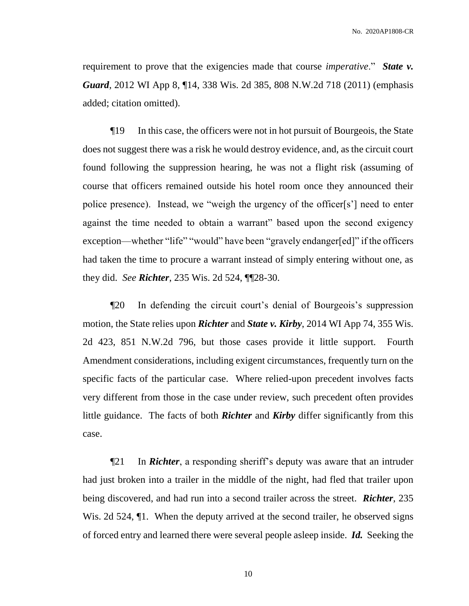requirement to prove that the exigencies made that course *imperative*." *State v. Guard*, 2012 WI App 8, ¶14, 338 Wis. 2d 385, 808 N.W.2d 718 (2011) (emphasis added; citation omitted).

¶19 In this case, the officers were not in hot pursuit of Bourgeois, the State does not suggest there was a risk he would destroy evidence, and, as the circuit court found following the suppression hearing, he was not a flight risk (assuming of course that officers remained outside his hotel room once they announced their police presence). Instead, we "weigh the urgency of the officer[s'] need to enter against the time needed to obtain a warrant" based upon the second exigency exception—whether "life" "would" have been "gravely endanger[ed]" if the officers had taken the time to procure a warrant instead of simply entering without one, as they did. *See Richter*, 235 Wis. 2d 524, ¶¶28-30.

¶20 In defending the circuit court's denial of Bourgeois's suppression motion, the State relies upon *Richter* and *State v. Kirby*, 2014 WI App 74, 355 Wis. 2d 423, 851 N.W.2d 796, but those cases provide it little support. Fourth Amendment considerations, including exigent circumstances, frequently turn on the specific facts of the particular case. Where relied-upon precedent involves facts very different from those in the case under review, such precedent often provides little guidance. The facts of both *Richter* and *Kirby* differ significantly from this case.

¶21 In *Richter*, a responding sheriff's deputy was aware that an intruder had just broken into a trailer in the middle of the night, had fled that trailer upon being discovered, and had run into a second trailer across the street. *Richter*, 235 Wis. 2d 524, <sup>¶</sup>1. When the deputy arrived at the second trailer, he observed signs of forced entry and learned there were several people asleep inside. *Id.* Seeking the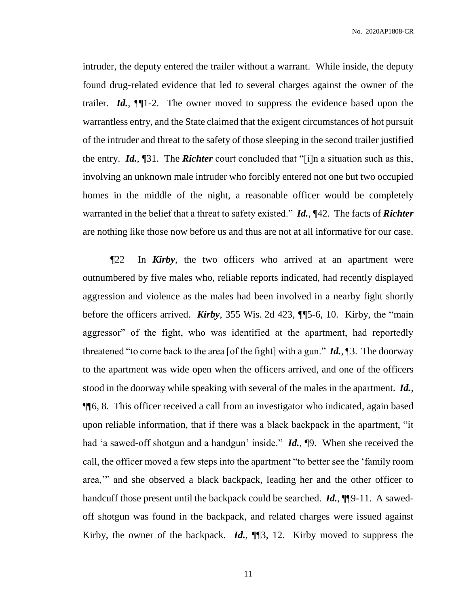intruder, the deputy entered the trailer without a warrant. While inside, the deputy found drug-related evidence that led to several charges against the owner of the trailer. *Id.*, ¶¶1-2. The owner moved to suppress the evidence based upon the warrantless entry, and the State claimed that the exigent circumstances of hot pursuit of the intruder and threat to the safety of those sleeping in the second trailer justified the entry. *Id.*, ¶31. The *Richter* court concluded that "[i]n a situation such as this, involving an unknown male intruder who forcibly entered not one but two occupied homes in the middle of the night, a reasonable officer would be completely warranted in the belief that a threat to safety existed." *Id.*, ¶42. The facts of *Richter* are nothing like those now before us and thus are not at all informative for our case.

¶22 In *Kirby*, the two officers who arrived at an apartment were outnumbered by five males who, reliable reports indicated, had recently displayed aggression and violence as the males had been involved in a nearby fight shortly before the officers arrived. *Kirby*, 355 Wis. 2d 423, ¶¶5-6, 10. Kirby, the "main aggressor" of the fight, who was identified at the apartment, had reportedly threatened "to come back to the area [of the fight] with a gun." *Id.*, ¶3. The doorway to the apartment was wide open when the officers arrived, and one of the officers stood in the doorway while speaking with several of the males in the apartment. *Id.*, ¶¶6, 8. This officer received a call from an investigator who indicated, again based upon reliable information, that if there was a black backpack in the apartment, "it had 'a sawed-off shotgun and a handgun' inside." *Id.*, ¶9. When she received the call, the officer moved a few steps into the apartment "to better see the 'family room area,'" and she observed a black backpack, leading her and the other officer to handcuff those present until the backpack could be searched. *Id.*, ¶¶9-11. A sawedoff shotgun was found in the backpack, and related charges were issued against Kirby, the owner of the backpack. *Id.*, ¶¶3, 12. Kirby moved to suppress the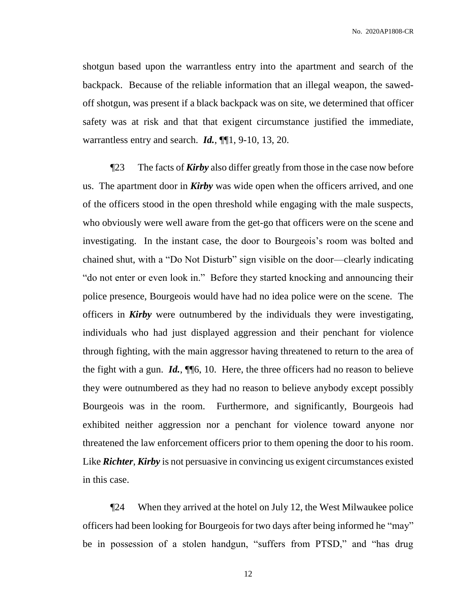shotgun based upon the warrantless entry into the apartment and search of the backpack. Because of the reliable information that an illegal weapon, the sawedoff shotgun, was present if a black backpack was on site, we determined that officer safety was at risk and that that exigent circumstance justified the immediate, warrantless entry and search. *Id.*, ¶¶1, 9-10, 13, 20.

¶23 The facts of *Kirby* also differ greatly from those in the case now before us. The apartment door in *Kirby* was wide open when the officers arrived, and one of the officers stood in the open threshold while engaging with the male suspects, who obviously were well aware from the get-go that officers were on the scene and investigating. In the instant case, the door to Bourgeois's room was bolted and chained shut, with a "Do Not Disturb" sign visible on the door—clearly indicating "do not enter or even look in." Before they started knocking and announcing their police presence, Bourgeois would have had no idea police were on the scene. The officers in *Kirby* were outnumbered by the individuals they were investigating, individuals who had just displayed aggression and their penchant for violence through fighting, with the main aggressor having threatened to return to the area of the fight with a gun. *Id.*, ¶¶6, 10. Here, the three officers had no reason to believe they were outnumbered as they had no reason to believe anybody except possibly Bourgeois was in the room. Furthermore, and significantly, Bourgeois had exhibited neither aggression nor a penchant for violence toward anyone nor threatened the law enforcement officers prior to them opening the door to his room. Like *Richter*, *Kirby* is not persuasive in convincing us exigent circumstances existed in this case.

¶24 When they arrived at the hotel on July 12, the West Milwaukee police officers had been looking for Bourgeois for two days after being informed he "may" be in possession of a stolen handgun, "suffers from PTSD," and "has drug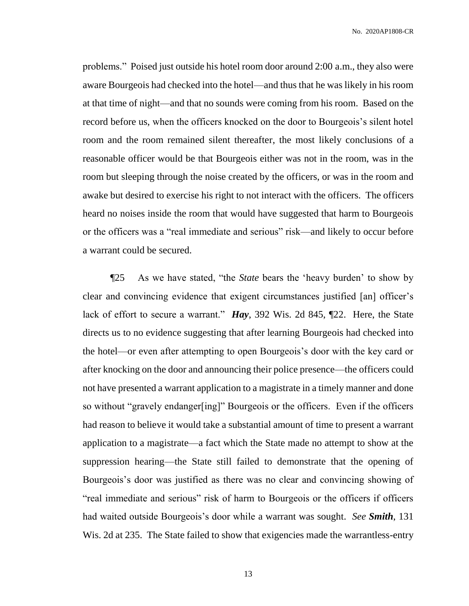problems." Poised just outside his hotel room door around 2:00 a.m., they also were aware Bourgeois had checked into the hotel—and thus that he was likely in his room at that time of night—and that no sounds were coming from his room. Based on the record before us, when the officers knocked on the door to Bourgeois's silent hotel room and the room remained silent thereafter, the most likely conclusions of a reasonable officer would be that Bourgeois either was not in the room, was in the room but sleeping through the noise created by the officers, or was in the room and awake but desired to exercise his right to not interact with the officers. The officers heard no noises inside the room that would have suggested that harm to Bourgeois or the officers was a "real immediate and serious" risk—and likely to occur before a warrant could be secured.

¶25 As we have stated, "the *State* bears the 'heavy burden' to show by clear and convincing evidence that exigent circumstances justified [an] officer's lack of effort to secure a warrant." *Hay*, 392 Wis. 2d 845, ¶22. Here, the State directs us to no evidence suggesting that after learning Bourgeois had checked into the hotel—or even after attempting to open Bourgeois's door with the key card or after knocking on the door and announcing their police presence—the officers could not have presented a warrant application to a magistrate in a timely manner and done so without "gravely endanger[ing]" Bourgeois or the officers. Even if the officers had reason to believe it would take a substantial amount of time to present a warrant application to a magistrate—a fact which the State made no attempt to show at the suppression hearing—the State still failed to demonstrate that the opening of Bourgeois's door was justified as there was no clear and convincing showing of "real immediate and serious" risk of harm to Bourgeois or the officers if officers had waited outside Bourgeois's door while a warrant was sought. *See Smith*, 131 Wis. 2d at 235. The State failed to show that exigencies made the warrantless-entry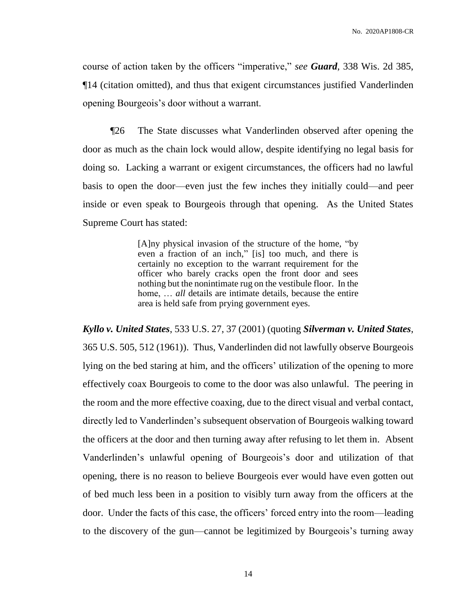course of action taken by the officers "imperative," *see Guard*, 338 Wis. 2d 385, ¶14 (citation omitted), and thus that exigent circumstances justified Vanderlinden opening Bourgeois's door without a warrant.

¶26 The State discusses what Vanderlinden observed after opening the door as much as the chain lock would allow, despite identifying no legal basis for doing so. Lacking a warrant or exigent circumstances, the officers had no lawful basis to open the door—even just the few inches they initially could—and peer inside or even speak to Bourgeois through that opening. As the United States Supreme Court has stated:

> [A]ny physical invasion of the structure of the home, "by even a fraction of an inch," [is] too much, and there is certainly no exception to the warrant requirement for the officer who barely cracks open the front door and sees nothing but the nonintimate rug on the vestibule floor. In the home, ... *all* details are intimate details, because the entire area is held safe from prying government eyes.

*Kyllo v. United States*, 533 U.S. 27, 37 (2001) (quoting *Silverman v. United States*, 365 U.S. 505, 512 (1961)). Thus, Vanderlinden did not lawfully observe Bourgeois lying on the bed staring at him, and the officers' utilization of the opening to more effectively coax Bourgeois to come to the door was also unlawful. The peering in the room and the more effective coaxing, due to the direct visual and verbal contact, directly led to Vanderlinden's subsequent observation of Bourgeois walking toward the officers at the door and then turning away after refusing to let them in. Absent Vanderlinden's unlawful opening of Bourgeois's door and utilization of that opening, there is no reason to believe Bourgeois ever would have even gotten out of bed much less been in a position to visibly turn away from the officers at the door. Under the facts of this case, the officers' forced entry into the room—leading to the discovery of the gun—cannot be legitimized by Bourgeois's turning away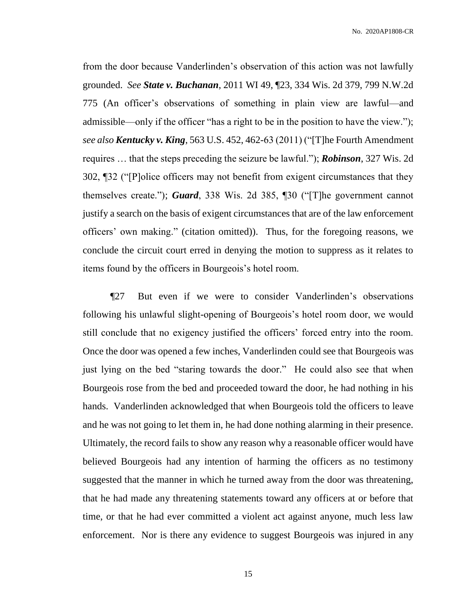from the door because Vanderlinden's observation of this action was not lawfully grounded. *See State v. Buchanan*, 2011 WI 49, ¶23, 334 Wis. 2d 379, 799 N.W.2d 775 (An officer's observations of something in plain view are lawful—and admissible—only if the officer "has a right to be in the position to have the view."); *see also Kentucky v. King*, 563 U.S. 452, 462-63 (2011) ("[T]he Fourth Amendment requires … that the steps preceding the seizure be lawful."); *Robinson*, 327 Wis. 2d 302, ¶32 ("[P]olice officers may not benefit from exigent circumstances that they themselves create."); *Guard*, 338 Wis. 2d 385, ¶30 ("[T]he government cannot justify a search on the basis of exigent circumstances that are of the law enforcement officers' own making." (citation omitted)). Thus, for the foregoing reasons, we conclude the circuit court erred in denying the motion to suppress as it relates to items found by the officers in Bourgeois's hotel room.

¶27 But even if we were to consider Vanderlinden's observations following his unlawful slight-opening of Bourgeois's hotel room door, we would still conclude that no exigency justified the officers' forced entry into the room. Once the door was opened a few inches, Vanderlinden could see that Bourgeois was just lying on the bed "staring towards the door." He could also see that when Bourgeois rose from the bed and proceeded toward the door, he had nothing in his hands. Vanderlinden acknowledged that when Bourgeois told the officers to leave and he was not going to let them in, he had done nothing alarming in their presence. Ultimately, the record fails to show any reason why a reasonable officer would have believed Bourgeois had any intention of harming the officers as no testimony suggested that the manner in which he turned away from the door was threatening, that he had made any threatening statements toward any officers at or before that time, or that he had ever committed a violent act against anyone, much less law enforcement. Nor is there any evidence to suggest Bourgeois was injured in any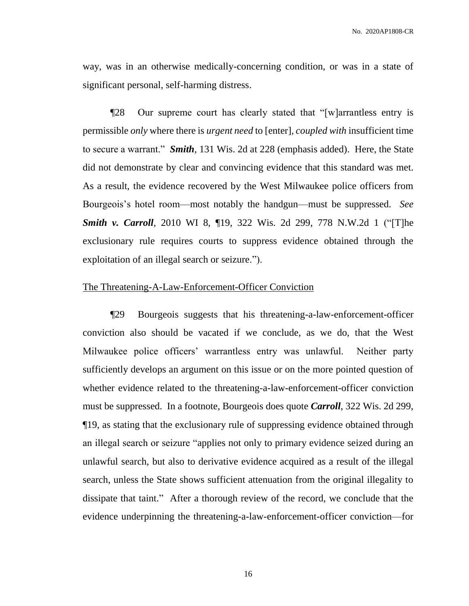way, was in an otherwise medically-concerning condition, or was in a state of significant personal, self-harming distress.

¶28 Our supreme court has clearly stated that "[w]arrantless entry is permissible *only* where there is *urgent need* to [enter], *coupled with* insufficient time to secure a warrant." *Smith*, 131 Wis. 2d at 228 (emphasis added). Here, the State did not demonstrate by clear and convincing evidence that this standard was met. As a result, the evidence recovered by the West Milwaukee police officers from Bourgeois's hotel room—most notably the handgun—must be suppressed. *See Smith v. Carroll*, 2010 WI 8, ¶19, 322 Wis. 2d 299, 778 N.W.2d 1 ("[T]he exclusionary rule requires courts to suppress evidence obtained through the exploitation of an illegal search or seizure.").

#### The Threatening-A-Law-Enforcement-Officer Conviction

¶29 Bourgeois suggests that his threatening-a-law-enforcement-officer conviction also should be vacated if we conclude, as we do, that the West Milwaukee police officers' warrantless entry was unlawful. Neither party sufficiently develops an argument on this issue or on the more pointed question of whether evidence related to the threatening-a-law-enforcement-officer conviction must be suppressed. In a footnote, Bourgeois does quote *Carroll*, 322 Wis. 2d 299, ¶19, as stating that the exclusionary rule of suppressing evidence obtained through an illegal search or seizure "applies not only to primary evidence seized during an unlawful search, but also to derivative evidence acquired as a result of the illegal search, unless the State shows sufficient attenuation from the original illegality to dissipate that taint." After a thorough review of the record, we conclude that the evidence underpinning the threatening-a-law-enforcement-officer conviction—for